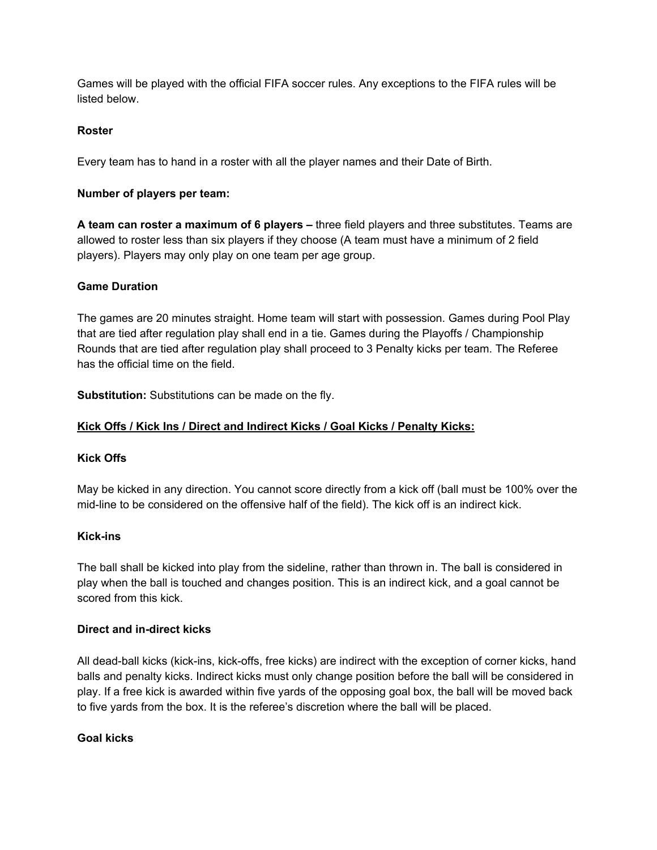Games will be played with the official FIFA soccer rules. Any exceptions to the FIFA rules will be listed below.

# **Roster**

Every team has to hand in a roster with all the player names and their Date of Birth.

# **Number of players per team:**

**A team can roster a maximum of 6 players –** three field players and three substitutes. Teams are allowed to roster less than six players if they choose (A team must have a minimum of 2 field players). Players may only play on one team per age group.

## **Game Duration**

The games are 20 minutes straight. Home team will start with possession. Games during Pool Play that are tied after regulation play shall end in a tie. Games during the Playoffs / Championship Rounds that are tied after regulation play shall proceed to 3 Penalty kicks per team. The Referee has the official time on the field.

**Substitution:** Substitutions can be made on the fly.

# **Kick Offs / Kick Ins / Direct and Indirect Kicks / Goal Kicks / Penalty Kicks:**

## **Kick Offs**

May be kicked in any direction. You cannot score directly from a kick off (ball must be 100% over the mid-line to be considered on the offensive half of the field). The kick off is an indirect kick.

## **Kick-ins**

The ball shall be kicked into play from the sideline, rather than thrown in. The ball is considered in play when the ball is touched and changes position. This is an indirect kick, and a goal cannot be scored from this kick.

## **Direct and in-direct kicks**

All dead-ball kicks (kick-ins, kick-offs, free kicks) are indirect with the exception of corner kicks, hand balls and penalty kicks. Indirect kicks must only change position before the ball will be considered in play. If a free kick is awarded within five yards of the opposing goal box, the ball will be moved back to five yards from the box. It is the referee's discretion where the ball will be placed.

## **Goal kicks**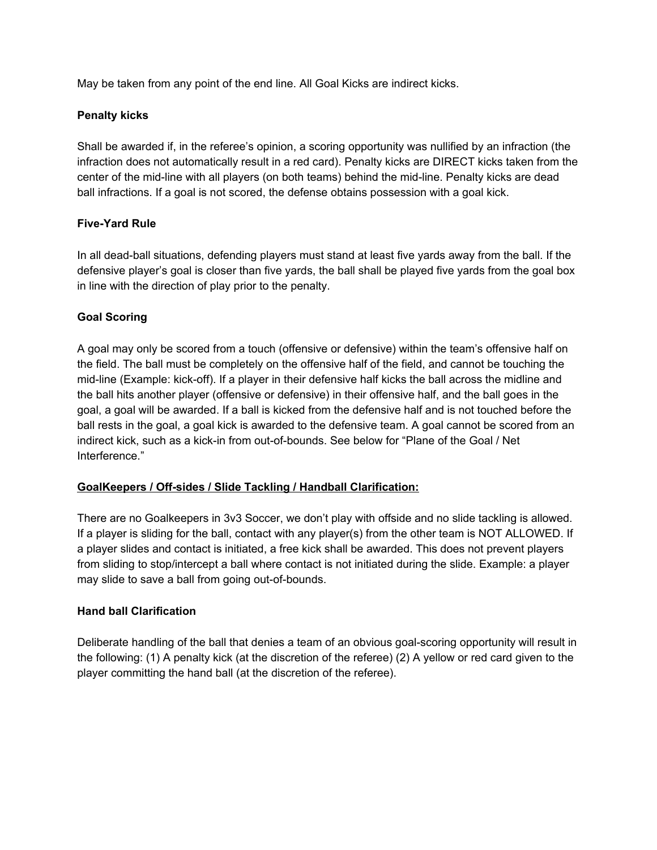May be taken from any point of the end line. All Goal Kicks are indirect kicks.

### **Penalty kicks**

Shall be awarded if, in the referee's opinion, a scoring opportunity was nullified by an infraction (the infraction does not automatically result in a red card). Penalty kicks are DIRECT kicks taken from the center of the mid-line with all players (on both teams) behind the mid-line. Penalty kicks are dead ball infractions. If a goal is not scored, the defense obtains possession with a goal kick.

### **Five-Yard Rule**

In all dead-ball situations, defending players must stand at least five yards away from the ball. If the defensive player's goal is closer than five yards, the ball shall be played five yards from the goal box in line with the direction of play prior to the penalty.

### **Goal Scoring**

A goal may only be scored from a touch (offensive or defensive) within the team's offensive half on the field. The ball must be completely on the offensive half of the field, and cannot be touching the mid-line (Example: kick-off). If a player in their defensive half kicks the ball across the midline and the ball hits another player (offensive or defensive) in their offensive half, and the ball goes in the goal, a goal will be awarded. If a ball is kicked from the defensive half and is not touched before the ball rests in the goal, a goal kick is awarded to the defensive team. A goal cannot be scored from an indirect kick, such as a kick-in from out-of-bounds. See below for "Plane of the Goal / Net Interference."

#### **GoalKeepers / Off-sides / Slide Tackling / Handball Clarification:**

There are no Goalkeepers in 3v3 Soccer, we don't play with offside and no slide tackling is allowed. If a player is sliding for the ball, contact with any player(s) from the other team is NOT ALLOWED. If a player slides and contact is initiated, a free kick shall be awarded. This does not prevent players from sliding to stop/intercept a ball where contact is not initiated during the slide. Example: a player may slide to save a ball from going out-of-bounds.

#### **Hand ball Clarification**

Deliberate handling of the ball that denies a team of an obvious goal-scoring opportunity will result in the following: (1) A penalty kick (at the discretion of the referee) (2) A yellow or red card given to the player committing the hand ball (at the discretion of the referee).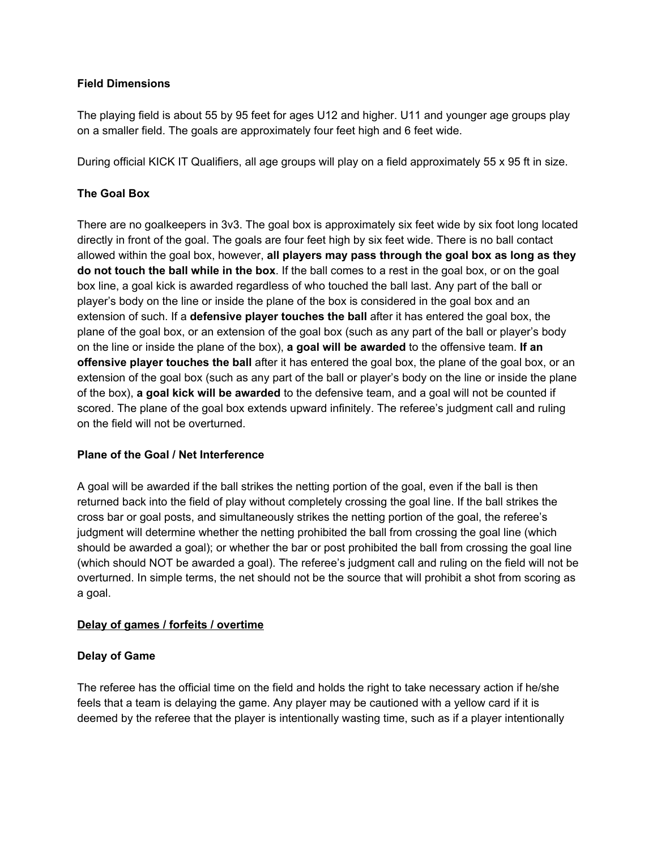### **Field Dimensions**

The playing field is about 55 by 95 feet for ages U12 and higher. U11 and younger age groups play on a smaller field. The goals are approximately four feet high and 6 feet wide.

During official KICK IT Qualifiers, all age groups will play on a field approximately 55 x 95 ft in size.

## **The Goal Box**

There are no goalkeepers in 3v3. The goal box is approximately six feet wide by six foot long located directly in front of the goal. The goals are four feet high by six feet wide. There is no ball contact allowed within the goal box, however, **all players may pass through the goal box as long as they do not touch the ball while in the box**. If the ball comes to a rest in the goal box, or on the goal box line, a goal kick is awarded regardless of who touched the ball last. Any part of the ball or player's body on the line or inside the plane of the box is considered in the goal box and an extension of such. If a **defensive player touches the ball** after it has entered the goal box, the plane of the goal box, or an extension of the goal box (such as any part of the ball or player's body on the line or inside the plane of the box), **a goal will be awarded** to the offensive team. **If an offensive player touches the ball** after it has entered the goal box, the plane of the goal box, or an extension of the goal box (such as any part of the ball or player's body on the line or inside the plane of the box), **a goal kick will be awarded** to the defensive team, and a goal will not be counted if scored. The plane of the goal box extends upward infinitely. The referee's judgment call and ruling on the field will not be overturned.

## **Plane of the Goal / Net Interference**

A goal will be awarded if the ball strikes the netting portion of the goal, even if the ball is then returned back into the field of play without completely crossing the goal line. If the ball strikes the cross bar or goal posts, and simultaneously strikes the netting portion of the goal, the referee's judgment will determine whether the netting prohibited the ball from crossing the goal line (which should be awarded a goal); or whether the bar or post prohibited the ball from crossing the goal line (which should NOT be awarded a goal). The referee's judgment call and ruling on the field will not be overturned. In simple terms, the net should not be the source that will prohibit a shot from scoring as a goal.

#### **Delay of games / forfeits / overtime**

#### **Delay of Game**

The referee has the official time on the field and holds the right to take necessary action if he/she feels that a team is delaying the game. Any player may be cautioned with a yellow card if it is deemed by the referee that the player is intentionally wasting time, such as if a player intentionally